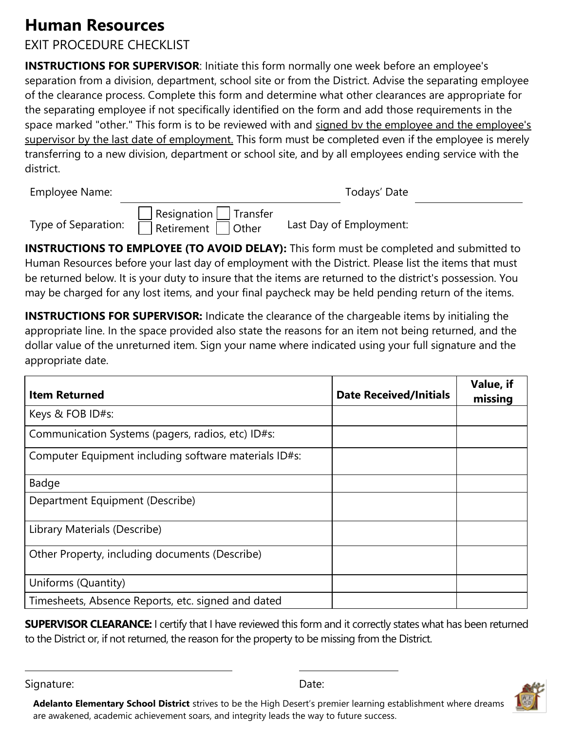## **Human Resources**

## EXIT PROCEDURE CHECKLIST

**INSTRUCTIONS FOR SUPERVISOR:** Initiate this form normally one week before an employee's separation from a division, department, school site or from the District. Advise the separating employee of the clearance process. Complete this form and determine what other clearances are appropriate for the separating employee if not specifically identified on the form and add those requirements in the space marked "other." This form is to be reviewed with and signed by the employee and the employee's supervisor by the last date of employment. This form must be completed even if the employee is merely transferring to a new division, department or school site, and by all employees ending service with the district.

Employee Name: Todays' Date

Type of Separation:

| $\vert$ Resignation $\vert \_ \vert$ Transfer |  |
|-----------------------------------------------|--|
| Retirement   Other                            |  |

Last Day of Employment:

**INSTRUCTIONS TO EMPLOYEE (TO AVOID DELAY):** This form must be completed and submitted to Human Resources before your last day of employment with the District. Please list the items that must be returned below. It is your duty to insure that the items are returned to the district's possession. You may be charged for any lost items, and your final paycheck may be held pending return of the items.

**INSTRUCTIONS FOR SUPERVISOR:** Indicate the clearance of the chargeable items by initialing the appropriate line. In the space provided also state the reasons for an item not being returned, and the dollar value of the unreturned item. Sign your name where indicated using your full signature and the appropriate date.

| <b>Item Returned</b>                                  | <b>Date Received/Initials</b> | Value, if<br>missing |
|-------------------------------------------------------|-------------------------------|----------------------|
| Keys & FOB ID#s:                                      |                               |                      |
| Communication Systems (pagers, radios, etc) ID#s:     |                               |                      |
| Computer Equipment including software materials ID#s: |                               |                      |
| Badge                                                 |                               |                      |
| Department Equipment (Describe)                       |                               |                      |
| Library Materials (Describe)                          |                               |                      |
| Other Property, including documents (Describe)        |                               |                      |
| Uniforms (Quantity)                                   |                               |                      |
| Timesheets, Absence Reports, etc. signed and dated    |                               |                      |

**SUPERVISOR CLEARANCE:** I certify that I have reviewed this form and it correctly states what has been returned to the District or, if not returned, the reason for the property to be missing from the District.

Signature: Date: Date: Date: Date: Date: Date: Date: Date: Date: Date: Date: Date: Date: Date: Date: Date: Date: Date: Date: Date: Date: Date: Date: Date: Date: Date: Date: Date: Date: Date: Date: Date: Date: Date: Date: D



**Adelanto Elementary School District** strives to be the High Desert's premier learning establishment where dreams are awakened, academic achievement soars, and integrity leads the way to future success.